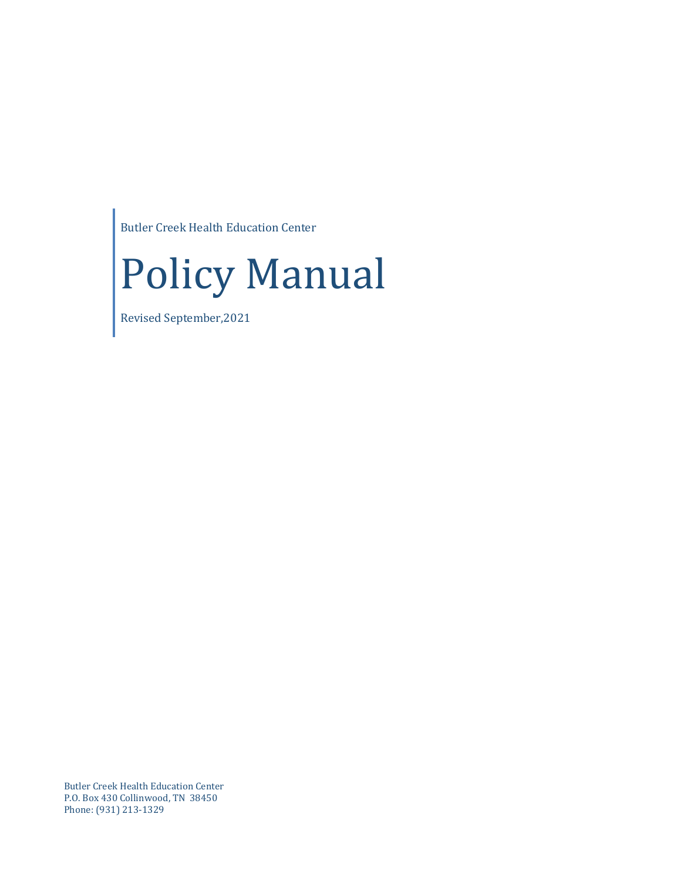Butler Creek Health Education Center



Revised September,2021

Butler Creek Health Education Center P.O. Box 430 Collinwood, TN 38450 Phone: (931) 213-1329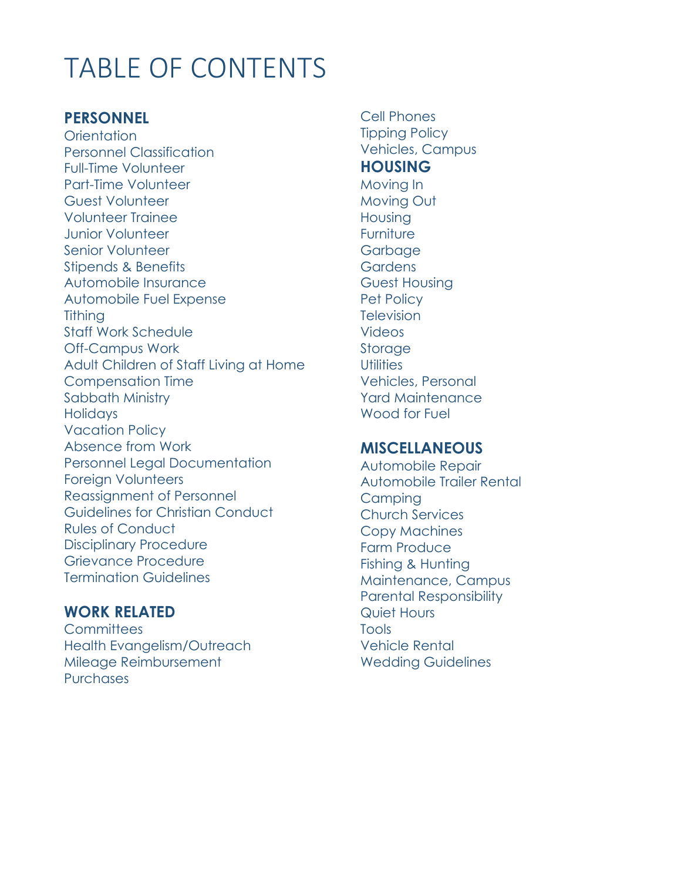# TABLE OF CONTENTS

# **PERSONNEL**

**Orientation** Personnel Classification Full-Time Volunteer Part-Time Volunteer Guest Volunteer Volunteer Trainee Junior Volunteer Senior Volunteer Stipends & Benefits Automobile Insurance Automobile Fuel Expense **Tithing** Staff Work Schedule Off-Campus Work Adult Children of Staff Living at Home Compensation Time Sabbath Ministry **Holidays** Vacation Policy Absence from Work Personnel Legal Documentation Foreign Volunteers Reassignment of Personnel Guidelines for Christian Conduct Rules of Conduct Disciplinary Procedure Grievance Procedure Termination Guidelines

# **WORK RELATED**

**Committees** Health Evangelism/Outreach Mileage Reimbursement **Purchases** 

Cell Phones Tipping Policy Vehicles, Campus **HOUSING** Moving In Moving Out Housing Furniture Garbage **Gardens** Guest Housing Pet Policy **Television** Videos **Storage Utilities** Vehicles, Personal Yard Maintenance Wood for Fuel

#### **MISCELLANEOUS**

Automobile Repair Automobile Trailer Rental **Campina** Church Services Copy Machines Farm Produce Fishing & Hunting Maintenance, Campus Parental Responsibility Quiet Hours Tools Vehicle Rental Wedding Guidelines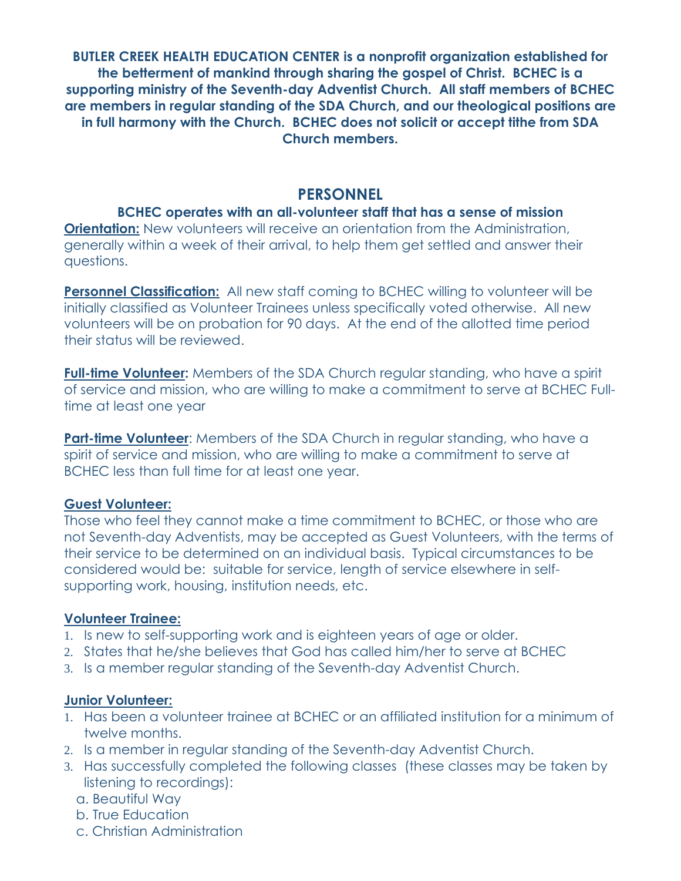**BUTLER CREEK HEALTH EDUCATION CENTER is a nonprofit organization established for the betterment of mankind through sharing the gospel of Christ. BCHEC is a supporting ministry of the Seventh-day Adventist Church. All staff members of BCHEC are members in regular standing of the SDA Church, and our theological positions are in full harmony with the Church. BCHEC does not solicit or accept tithe from SDA Church members.**

#### **PERSONNEL**

# **BCHEC operates with an all-volunteer staff that has a sense of mission**

**Orientation:** New volunteers will receive an orientation from the Administration, generally within a week of their arrival, to help them get settled and answer their questions.

**Personnel Classification:** All new staff coming to BCHEC willing to volunteer will be initially classified as Volunteer Trainees unless specifically voted otherwise. All new volunteers will be on probation for 90 days. At the end of the allotted time period their status will be reviewed.

**Full-time Volunteer:** Members of the SDA Church regular standing, who have a spirit of service and mission, who are willing to make a commitment to serve at BCHEC Fulltime at least one year

**Part-time Volunteer:** Members of the SDA Church in regular standing, who have a spirit of service and mission, who are willing to make a commitment to serve at BCHEC less than full time for at least one year.

#### **Guest Volunteer:**

Those who feel they cannot make a time commitment to BCHEC, or those who are not Seventh-day Adventists, may be accepted as Guest Volunteers, with the terms of their service to be determined on an individual basis. Typical circumstances to be considered would be: suitable for service, length of service elsewhere in selfsupporting work, housing, institution needs, etc.

#### **Volunteer Trainee:**

- 1. Is new to self-supporting work and is eighteen years of age or older.
- 2. States that he/she believes that God has called him/her to serve at BCHEC
- 3. Is a member regular standing of the Seventh-day Adventist Church.

#### **Junior Volunteer:**

- 1. Has been a volunteer trainee at BCHEC or an affiliated institution for a minimum of twelve months.
- 2. Is a member in regular standing of the Seventh-day Adventist Church.
- 3. Has successfully completed the following classes (these classes may be taken by listening to recordings):
	- a. Beautiful Way
	- b. True Education
	- c. Christian Administration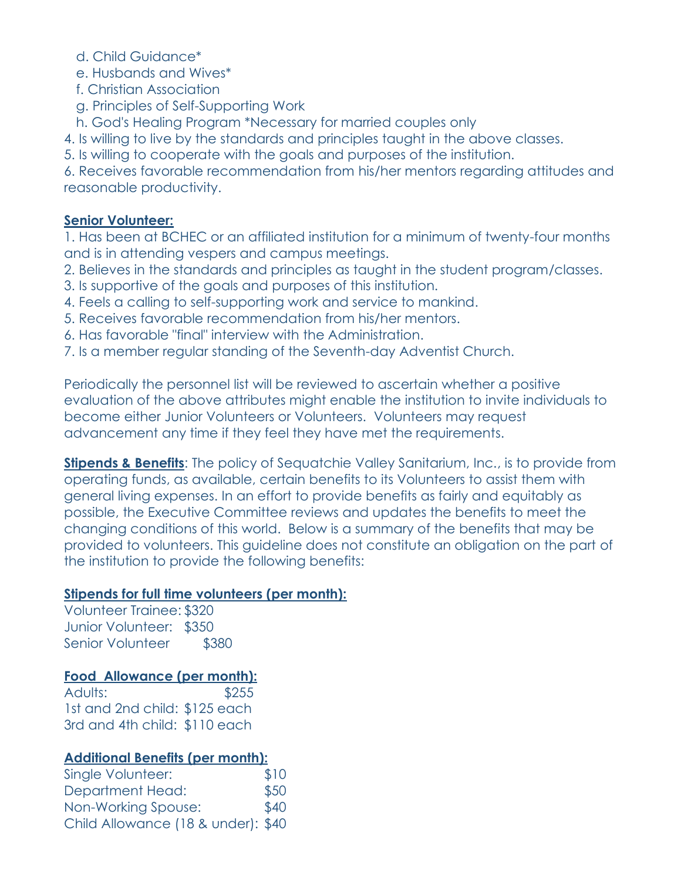d. Child Guidance\*

e. Husbands and Wives\*

- f. Christian Association
- g. Principles of Self-Supporting Work

h. God's Healing Program \*Necessary for married couples only

4. Is willing to live by the standards and principles taught in the above classes.

5. Is willing to cooperate with the goals and purposes of the institution.

6. Receives favorable recommendation from his/her mentors regarding attitudes and reasonable productivity.

#### **Senior Volunteer:**

1. Has been at BCHEC or an affiliated institution for a minimum of twenty-four months and is in attending vespers and campus meetings.

2. Believes in the standards and principles as taught in the student program/classes.

- 3. Is supportive of the goals and purposes of this institution.
- 4. Feels a calling to self-supporting work and service to mankind.
- 5. Receives favorable recommendation from his/her mentors.
- 6. Has favorable "final" interview with the Administration.
- 7. Is a member regular standing of the Seventh-day Adventist Church.

Periodically the personnel list will be reviewed to ascertain whether a positive evaluation of the above attributes might enable the institution to invite individuals to become either Junior Volunteers or Volunteers. Volunteers may request advancement any time if they feel they have met the requirements.

**Stipends & Benefits**: The policy of Sequatchie Valley Sanitarium, Inc., is to provide from operating funds, as available, certain benefits to its Volunteers to assist them with general living expenses. In an effort to provide benefits as fairly and equitably as possible, the Executive Committee reviews and updates the benefits to meet the changing conditions of this world. Below is a summary of the benefits that may be provided to volunteers. This guideline does not constitute an obligation on the part of the institution to provide the following benefits:

# **Stipends for full time volunteers (per month):**

Volunteer Trainee: \$320 Junior Volunteer: \$350 Senior Volunteer \$380

# **Food Allowance (per month):**

Adults: \$255 1st and 2nd child: \$125 each 3rd and 4th child: \$110 each

# **Additional Benefits (per month):**

| Single Volunteer:                  | \$10 |
|------------------------------------|------|
| <b>Department Head:</b>            | \$50 |
| Non-Working Spouse:                | \$40 |
| Child Allowance (18 & under): \$40 |      |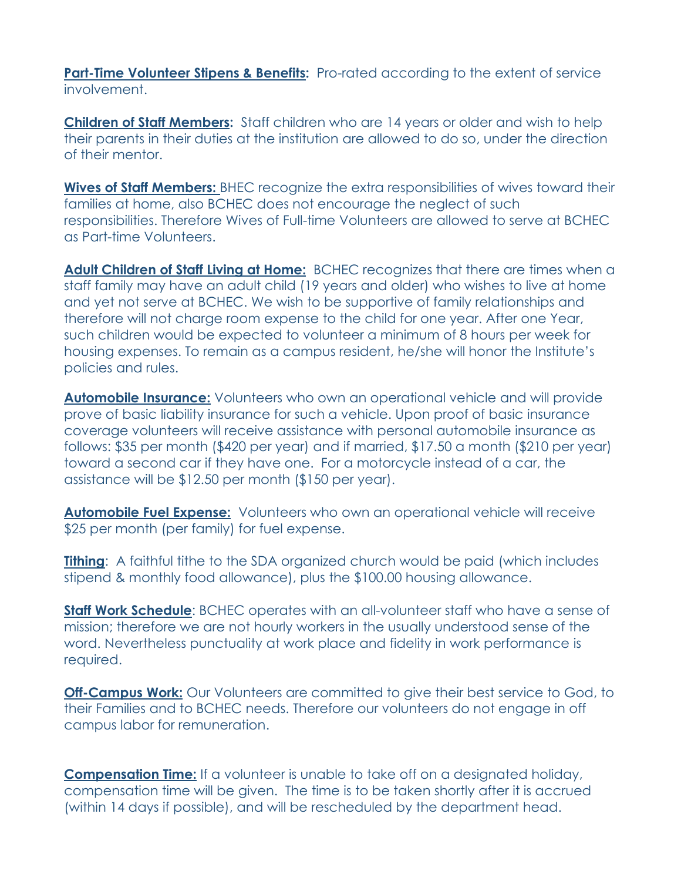**Part-Time Volunteer Stipens & Benefits:** Pro-rated according to the extent of service involvement.

**Children of Staff Members:** Staff children who are 14 years or older and wish to help their parents in their duties at the institution are allowed to do so, under the direction of their mentor.

**Wives of Staff Members:** BHEC recognize the extra responsibilities of wives toward their families at home, also BCHEC does not encourage the neglect of such responsibilities. Therefore Wives of Full-time Volunteers are allowed to serve at BCHEC as Part-time Volunteers.

**Adult Children of Staff Living at Home:** BCHEC recognizes that there are times when a staff family may have an adult child (19 years and older) who wishes to live at home and yet not serve at BCHEC. We wish to be supportive of family relationships and therefore will not charge room expense to the child for one year. After one Year, such children would be expected to volunteer a minimum of 8 hours per week for housing expenses. To remain as a campus resident, he/she will honor the Institute's policies and rules.

**Automobile Insurance:** Volunteers who own an operational vehicle and will provide prove of basic liability insurance for such a vehicle. Upon proof of basic insurance coverage volunteers will receive assistance with personal automobile insurance as follows: \$35 per month (\$420 per year) and if married, \$17.50 a month (\$210 per year) toward a second car if they have one. For a motorcycle instead of a car, the assistance will be \$12.50 per month (\$150 per year).

**Automobile Fuel Expense:** Volunteers who own an operational vehicle will receive \$25 per month (per family) for fuel expense.

**Tithing**: A faithful tithe to the SDA organized church would be paid (which includes stipend & monthly food allowance), plus the \$100.00 housing allowance.

**Staff Work Schedule**: BCHEC operates with an all-volunteer staff who have a sense of mission; therefore we are not hourly workers in the usually understood sense of the word. Nevertheless punctuality at work place and fidelity in work performance is required.

**Off-Campus Work:** Our Volunteers are committed to give their best service to God, to their Families and to BCHEC needs. Therefore our volunteers do not engage in off campus labor for remuneration.

**Compensation Time:** If a volunteer is unable to take off on a designated holiday, compensation time will be given. The time is to be taken shortly after it is accrued (within 14 days if possible), and will be rescheduled by the department head.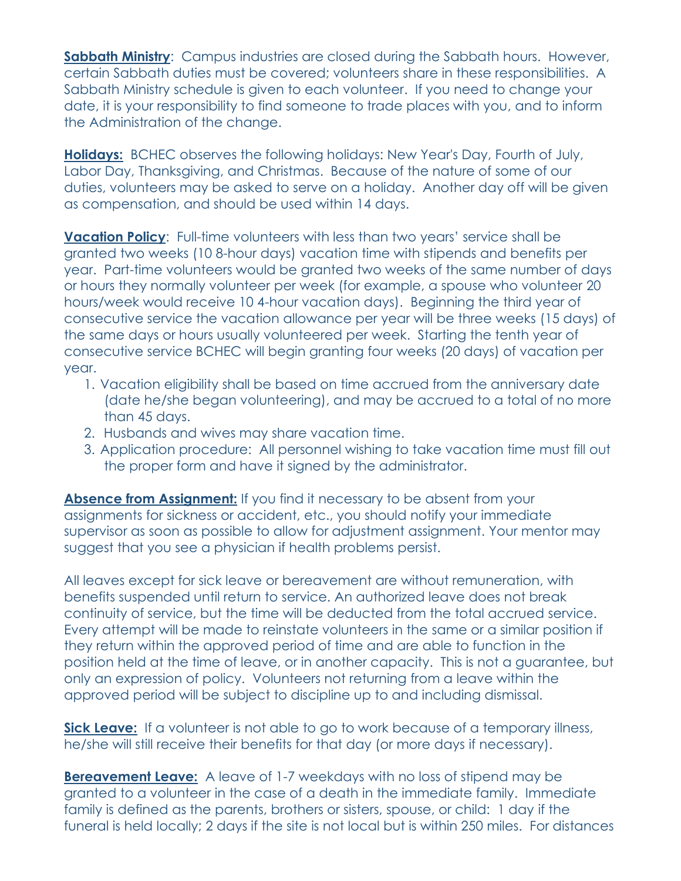**Sabbath Ministry:** Campus industries are closed during the Sabbath hours. However, certain Sabbath duties must be covered; volunteers share in these responsibilities. A Sabbath Ministry schedule is given to each volunteer. If you need to change your date, it is your responsibility to find someone to trade places with you, and to inform the Administration of the change.

**Holidays:** BCHEC observes the following holidays: New Year's Day, Fourth of July, Labor Day, Thanksgiving, and Christmas. Because of the nature of some of our duties, volunteers may be asked to serve on a holiday. Another day off will be given as compensation, and should be used within 14 days.

**Vacation Policy**: Full-time volunteers with less than two years' service shall be granted two weeks (10 8-hour days) vacation time with stipends and benefits per year. Part-time volunteers would be granted two weeks of the same number of days or hours they normally volunteer per week (for example, a spouse who volunteer 20 hours/week would receive 10 4-hour vacation days). Beginning the third year of consecutive service the vacation allowance per year will be three weeks (15 days) of the same days or hours usually volunteered per week. Starting the tenth year of consecutive service BCHEC will begin granting four weeks (20 days) of vacation per year.

- 1. Vacation eligibility shall be based on time accrued from the anniversary date (date he/she began volunteering), and may be accrued to a total of no more than 45 days.
- 2. Husbands and wives may share vacation time.
- 3. Application procedure: All personnel wishing to take vacation time must fill out the proper form and have it signed by the administrator.

Absence from Assignment: If you find it necessary to be absent from your assignments for sickness or accident, etc., you should notify your immediate supervisor as soon as possible to allow for adjustment assignment. Your mentor may suggest that you see a physician if health problems persist.

All leaves except for sick leave or bereavement are without remuneration, with benefits suspended until return to service. An authorized leave does not break continuity of service, but the time will be deducted from the total accrued service. Every attempt will be made to reinstate volunteers in the same or a similar position if they return within the approved period of time and are able to function in the position held at the time of leave, or in another capacity. This is not a guarantee, but only an expression of policy. Volunteers not returning from a leave within the approved period will be subject to discipline up to and including dismissal.

**Sick Leave:** If a volunteer is not able to go to work because of a temporary illness, he/she will still receive their benefits for that day (or more days if necessary).

**Bereavement Leave:** A leave of 1-7 weekdays with no loss of stipend may be granted to a volunteer in the case of a death in the immediate family. Immediate family is defined as the parents, brothers or sisters, spouse, or child: 1 day if the funeral is held locally; 2 days if the site is not local but is within 250 miles. For distances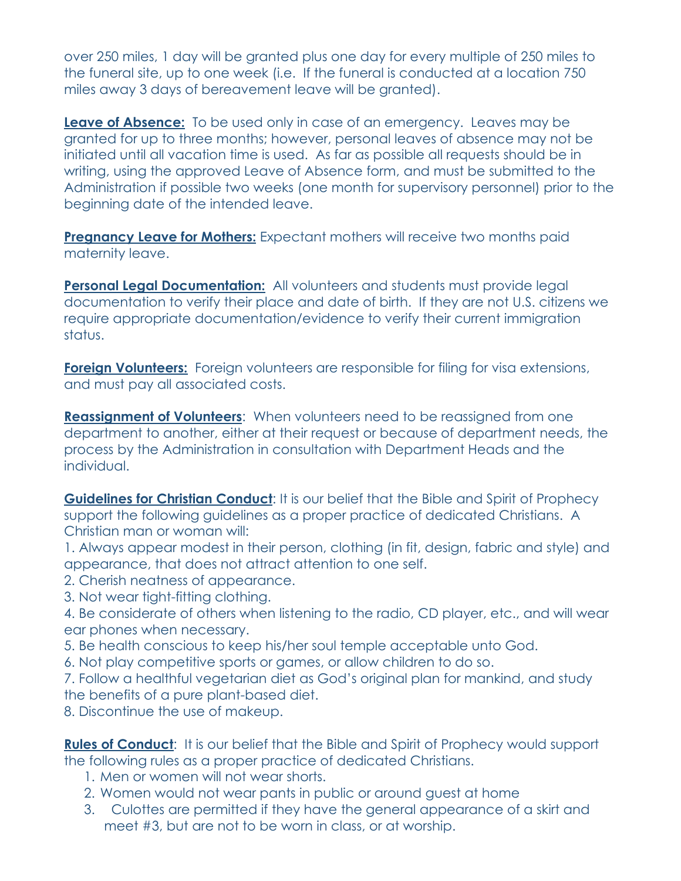over 250 miles, 1 day will be granted plus one day for every multiple of 250 miles to the funeral site, up to one week (i.e. If the funeral is conducted at a location 750 miles away 3 days of bereavement leave will be granted).

**Leave of Absence:** To be used only in case of an emergency. Leaves may be granted for up to three months; however, personal leaves of absence may not be initiated until all vacation time is used. As far as possible all requests should be in writing, using the approved Leave of Absence form, and must be submitted to the Administration if possible two weeks (one month for supervisory personnel) prior to the beginning date of the intended leave.

**Pregnancy Leave for Mothers:** Expectant mothers will receive two months paid maternity leave.

**Personal Legal Documentation:** All volunteers and students must provide legal documentation to verify their place and date of birth. If they are not U.S. citizens we require appropriate documentation/evidence to verify their current immigration status.

**Foreign Volunteers:** Foreign volunteers are responsible for filing for visa extensions, and must pay all associated costs.

**Reassignment of Volunteers**: When volunteers need to be reassigned from one department to another, either at their request or because of department needs, the process by the Administration in consultation with Department Heads and the individual.

**Guidelines for Christian Conduct:** It is our belief that the Bible and Spirit of Prophecy support the following guidelines as a proper practice of dedicated Christians. A Christian man or woman will:

1. Always appear modest in their person, clothing (in fit, design, fabric and style) and appearance, that does not attract attention to one self.

- 2. Cherish neatness of appearance.
- 3. Not wear tight-fitting clothing.

4. Be considerate of others when listening to the radio, CD player, etc., and will wear ear phones when necessary.

- 5. Be health conscious to keep his/her soul temple acceptable unto God.
- 6. Not play competitive sports or games, or allow children to do so.
- 7. Follow a healthful vegetarian diet as God's original plan for mankind, and study the benefits of a pure plant-based diet.
- 8. Discontinue the use of makeup.

Rules of Conduct: It is our belief that the Bible and Spirit of Prophecy would support the following rules as a proper practice of dedicated Christians.

- 1. Men or women will not wear shorts.
- 2. Women would not wear pants in public or around guest at home
- 3. Culottes are permitted if they have the general appearance of a skirt and meet #3, but are not to be worn in class, or at worship.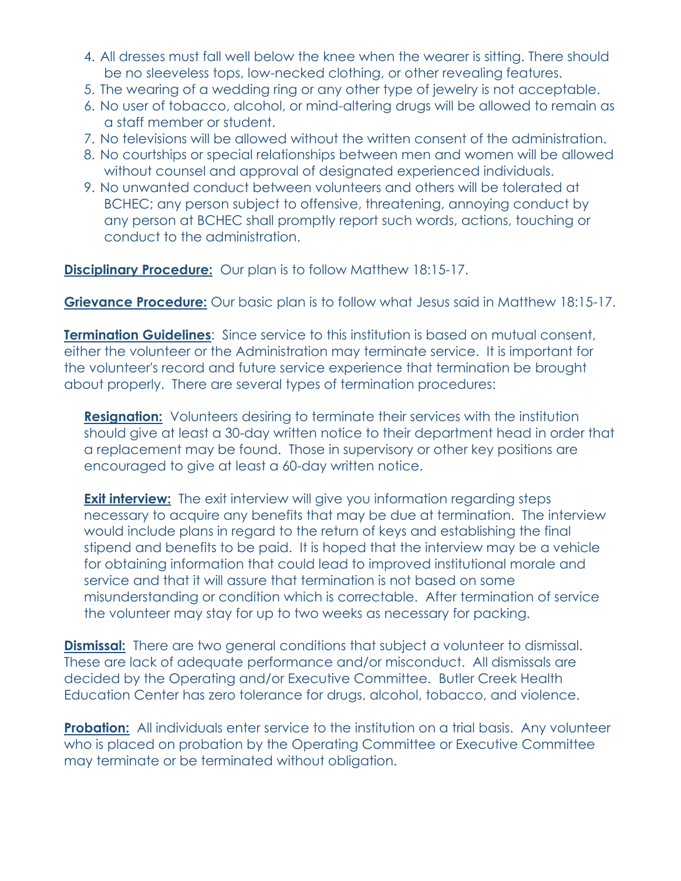- 4. All dresses must fall well below the knee when the wearer is sitting. There should be no sleeveless tops, low-necked clothing, or other revealing features.
- 5. The wearing of a wedding ring or any other type of jewelry is not acceptable.
- 6. No user of tobacco, alcohol, or mind-altering drugs will be allowed to remain as a staff member or student.
- 7. No televisions will be allowed without the written consent of the administration.
- 8. No courtships or special relationships between men and women will be allowed without counsel and approval of designated experienced individuals.
- 9. No unwanted conduct between volunteers and others will be tolerated at BCHEC; any person subject to offensive, threatening, annoying conduct by any person at BCHEC shall promptly report such words, actions, touching or conduct to the administration.

**Disciplinary Procedure:** Our plan is to follow Matthew 18:15-17.

**Grievance Procedure:** Our basic plan is to follow what Jesus said in Matthew 18:15-17.

**Termination Guidelines**: Since service to this institution is based on mutual consent, either the volunteer or the Administration may terminate service. It is important for the volunteer's record and future service experience that termination be brought about properly. There are several types of termination procedures:

**Resignation:** Volunteers desiring to terminate their services with the institution should give at least a 30-day written notice to their department head in order that a replacement may be found. Those in supervisory or other key positions are encouraged to give at least a 60-day written notice.

**Exit interview:** The exit interview will give you information regarding steps necessary to acquire any benefits that may be due at termination. The interview would include plans in regard to the return of keys and establishing the final stipend and benefits to be paid. It is hoped that the interview may be a vehicle for obtaining information that could lead to improved institutional morale and service and that it will assure that termination is not based on some misunderstanding or condition which is correctable. After termination of service the volunteer may stay for up to two weeks as necessary for packing.

**Dismissal:** There are two general conditions that subject a volunteer to dismissal. These are lack of adequate performance and/or misconduct. All dismissals are decided by the Operating and/or Executive Committee. Butler Creek Health Education Center has zero tolerance for drugs, alcohol, tobacco, and violence.

**Probation:** All individuals enter service to the institution on a trial basis. Any volunteer who is placed on probation by the Operating Committee or Executive Committee may terminate or be terminated without obligation.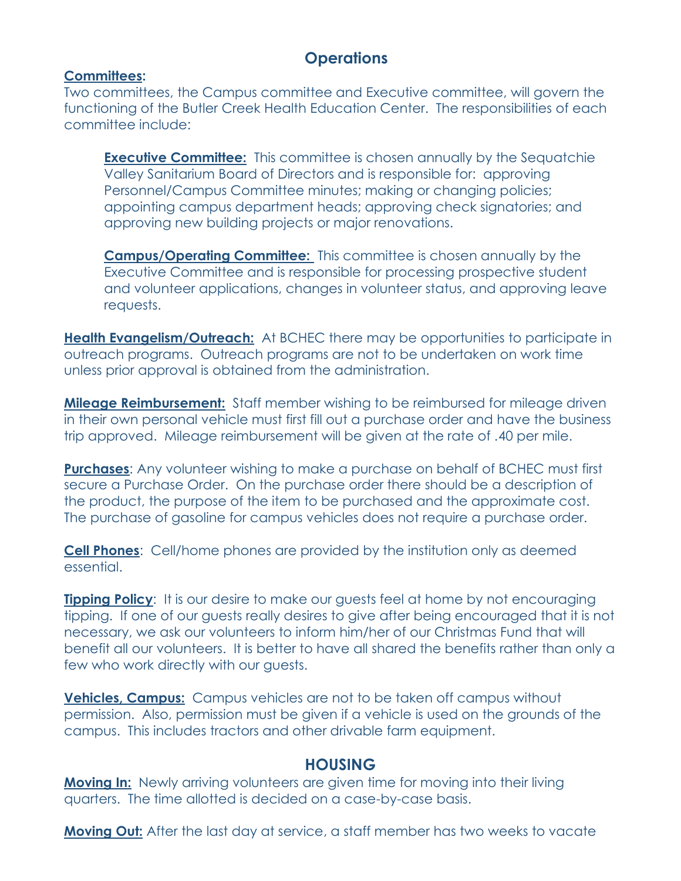# **Operations**

#### **Committees:**

Two committees, the Campus committee and Executive committee, will govern the functioning of the Butler Creek Health Education Center. The responsibilities of each committee include:

**Executive Committee:** This committee is chosen annually by the Sequatchie Valley Sanitarium Board of Directors and is responsible for: approving Personnel/Campus Committee minutes; making or changing policies; appointing campus department heads; approving check signatories; and approving new building projects or major renovations.

**Campus/Operating Committee:** This committee is chosen annually by the Executive Committee and is responsible for processing prospective student and volunteer applications, changes in volunteer status, and approving leave requests.

**Health Evangelism/Outreach:** At BCHEC there may be opportunities to participate in outreach programs. Outreach programs are not to be undertaken on work time unless prior approval is obtained from the administration.

**Mileage Reimbursement:** Staff member wishing to be reimbursed for mileage driven in their own personal vehicle must first fill out a purchase order and have the business trip approved. Mileage reimbursement will be given at the rate of .40 per mile.

**Purchases**: Any volunteer wishing to make a purchase on behalf of BCHEC must first secure a Purchase Order. On the purchase order there should be a description of the product, the purpose of the item to be purchased and the approximate cost. The purchase of gasoline for campus vehicles does not require a purchase order.

**Cell Phones**: Cell/home phones are provided by the institution only as deemed essential.

**Tipping Policy:** It is our desire to make our guests feel at home by not encouraging tipping. If one of our guests really desires to give after being encouraged that it is not necessary, we ask our volunteers to inform him/her of our Christmas Fund that will benefit all our volunteers. It is better to have all shared the benefits rather than only a few who work directly with our guests.

**Vehicles, Campus:** Campus vehicles are not to be taken off campus without permission. Also, permission must be given if a vehicle is used on the grounds of the campus. This includes tractors and other drivable farm equipment.

#### **HOUSING**

**Moving In:** Newly arriving volunteers are given time for moving into their living quarters. The time allotted is decided on a case-by-case basis.

**Moving Out:** After the last day at service, a staff member has two weeks to vacate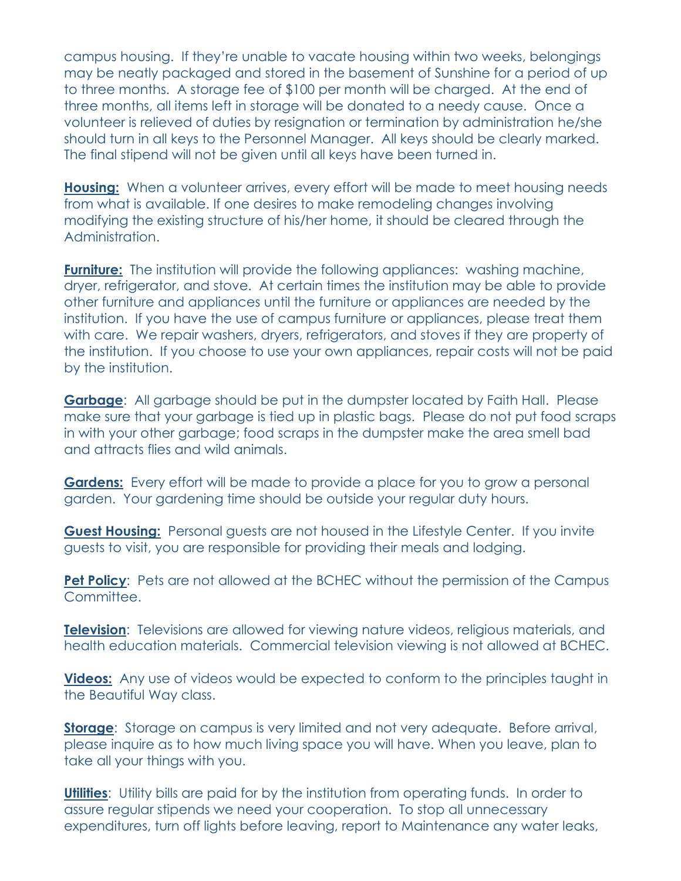campus housing. If they're unable to vacate housing within two weeks, belongings may be neatly packaged and stored in the basement of Sunshine for a period of up to three months. A storage fee of \$100 per month will be charged. At the end of three months, all items left in storage will be donated to a needy cause. Once a volunteer is relieved of duties by resignation or termination by administration he/she should turn in all keys to the Personnel Manager. All keys should be clearly marked. The final stipend will not be given until all keys have been turned in.

**Housing:** When a volunteer arrives, every effort will be made to meet housing needs from what is available. If one desires to make remodeling changes involving modifying the existing structure of his/her home, it should be cleared through the Administration.

**Furniture:** The institution will provide the following appliances: washing machine, dryer, refrigerator, and stove. At certain times the institution may be able to provide other furniture and appliances until the furniture or appliances are needed by the institution. If you have the use of campus furniture or appliances, please treat them with care. We repair washers, dryers, refrigerators, and stoves if they are property of the institution. If you choose to use your own appliances, repair costs will not be paid by the institution.

**Garbage:** All garbage should be put in the dumpster located by Faith Hall. Please make sure that your garbage is tied up in plastic bags. Please do not put food scraps in with your other garbage; food scraps in the dumpster make the area smell bad and attracts flies and wild animals.

**Gardens:** Every effort will be made to provide a place for you to grow a personal garden. Your gardening time should be outside your regular duty hours.

**Guest Housing:** Personal guests are not housed in the Lifestyle Center. If you invite guests to visit, you are responsible for providing their meals and lodging.

**Pet Policy:** Pets are not allowed at the BCHEC without the permission of the Campus Committee.

**Television:** Televisions are allowed for viewing nature videos, religious materials, and health education materials. Commercial television viewing is not allowed at BCHEC.

**Videos:** Any use of videos would be expected to conform to the principles taught in the Beautiful Way class.

**Storage**: Storage on campus is very limited and not very adequate. Before arrival, please inquire as to how much living space you will have. When you leave, plan to take all your things with you.

**Utilities**: Utility bills are paid for by the institution from operating funds. In order to assure regular stipends we need your cooperation. To stop all unnecessary expenditures, turn off lights before leaving, report to Maintenance any water leaks,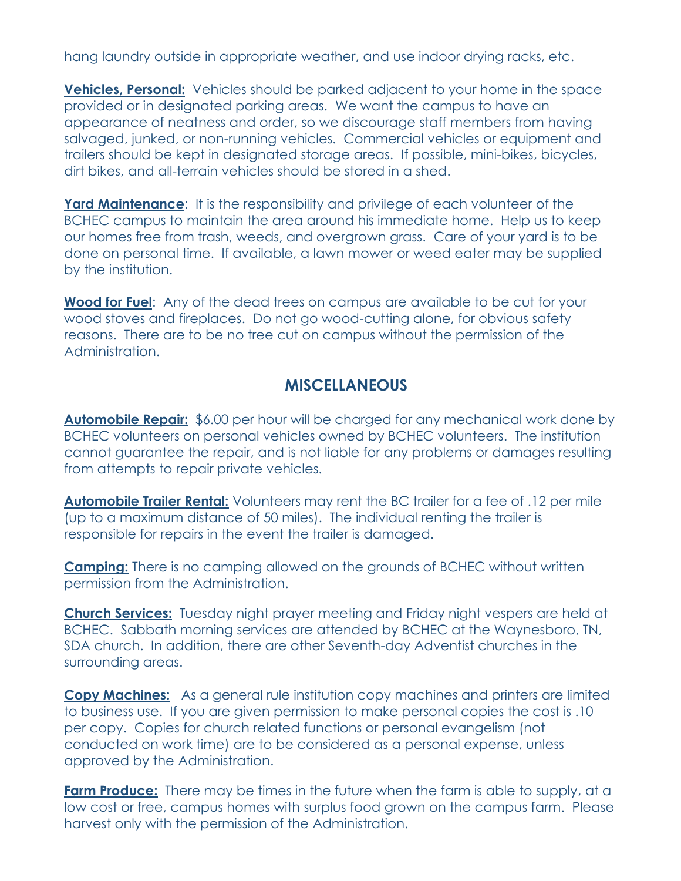hang laundry outside in appropriate weather, and use indoor drying racks, etc.

**Vehicles, Personal:** Vehicles should be parked adjacent to your home in the space provided or in designated parking areas. We want the campus to have an appearance of neatness and order, so we discourage staff members from having salvaged, junked, or non-running vehicles. Commercial vehicles or equipment and trailers should be kept in designated storage areas. If possible, mini-bikes, bicycles, dirt bikes, and all-terrain vehicles should be stored in a shed.

**Yard Maintenance:** It is the responsibility and privilege of each volunteer of the BCHEC campus to maintain the area around his immediate home. Help us to keep our homes free from trash, weeds, and overgrown grass. Care of your yard is to be done on personal time. If available, a lawn mower or weed eater may be supplied by the institution.

**Wood for Fuel**: Any of the dead trees on campus are available to be cut for your wood stoves and fireplaces. Do not go wood-cutting alone, for obvious safety reasons. There are to be no tree cut on campus without the permission of the Administration.

# **MISCELLANEOUS**

**Automobile Repair:** \$6.00 per hour will be charged for any mechanical work done by BCHEC volunteers on personal vehicles owned by BCHEC volunteers. The institution cannot guarantee the repair, and is not liable for any problems or damages resulting from attempts to repair private vehicles.

**Automobile Trailer Rental:** Volunteers may rent the BC trailer for a fee of .12 per mile (up to a maximum distance of 50 miles). The individual renting the trailer is responsible for repairs in the event the trailer is damaged.

**Camping:** There is no camping allowed on the grounds of BCHEC without written permission from the Administration.

**Church Services:** Tuesday night prayer meeting and Friday night vespers are held at BCHEC. Sabbath morning services are attended by BCHEC at the Waynesboro, TN, SDA church. In addition, there are other Seventh-day Adventist churches in the surrounding areas.

**Copy Machines:** As a general rule institution copy machines and printers are limited to business use. If you are given permission to make personal copies the cost is .10 per copy. Copies for church related functions or personal evangelism (not conducted on work time) are to be considered as a personal expense, unless approved by the Administration.

**Farm Produce:** There may be times in the future when the farm is able to supply, at a low cost or free, campus homes with surplus food grown on the campus farm. Please harvest only with the permission of the Administration.